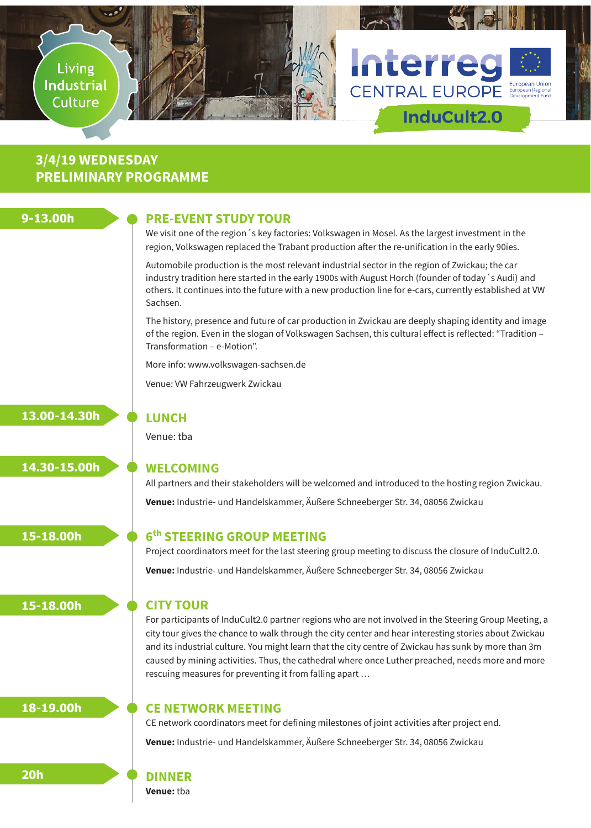

# **3/4/19 WEDNESDAY PRELIMINARY PROGRAMME**

# **9-13.00h**

## **PRE-EVENT STUDY TOUR**

We visit one of the region´s key factories: Volkswagen in Mosel. As the largest investment in the region, Volkswagen replaced the Trabant production after the re-unification in the early 90ies.

Automobile production is the most relevant industrial sector in the region of Zwickau; the car industry tradition here started in the early 1900s with August Horch (founder of today´s Audi) and others. It continues into the future with a new production line for e-cars, currently established at VW Sachsen.

The history, presence and future of car production in Zwickau are deeply shaping identity and image of the region. Even in the slogan of Volkswagen Sachsen, this cultural effect is reflected: "Tradition – Transformation – e-Motion".

More info: www.volkswagen-sachsen.de

Venue: VW Fahrzeugwerk Zwickau

**13.00-14.30h**

**14.30-15.00h**

# **LUNCH**

Venue: tba

## **WELCOMING**

All partners and their stakeholders will be welcomed and introduced to the hosting region Zwickau. **Venue:** Industrie- und Handelskammer, Äußere Schneeberger Str. 34, 08056 Zwickau

**15-18.00h**

**15-18.00h**

# **6th STEERING GROUP MEETING**

Project coordinators meet for the last steering group meeting to discuss the closure of InduCult2.0. **Venue:** Industrie- und Handelskammer, Äußere Schneeberger Str. 34, 08056 Zwickau

## **CITY TOUR**

For participants of InduCult2.0 partner regions who are not involved in the Steering Group Meeting, a city tour gives the chance to walk through the city center and hear interesting stories about Zwickau and its industrial culture. You might learn that the city centre of Zwickau has sunk by more than 3m caused by mining activities. Thus, the cathedral where once Luther preached, needs more and more rescuing measures for preventing it from falling apart …

# **18-19.00h**

**20h**

## **CE NETWORK MEETING**

CE network coordinators meet for defining milestones of joint activities after project end. **Venue:** Industrie- und Handelskammer, Äußere Schneeberger Str. 34, 08056 Zwickau

### **DINNER**

**Venue:** tba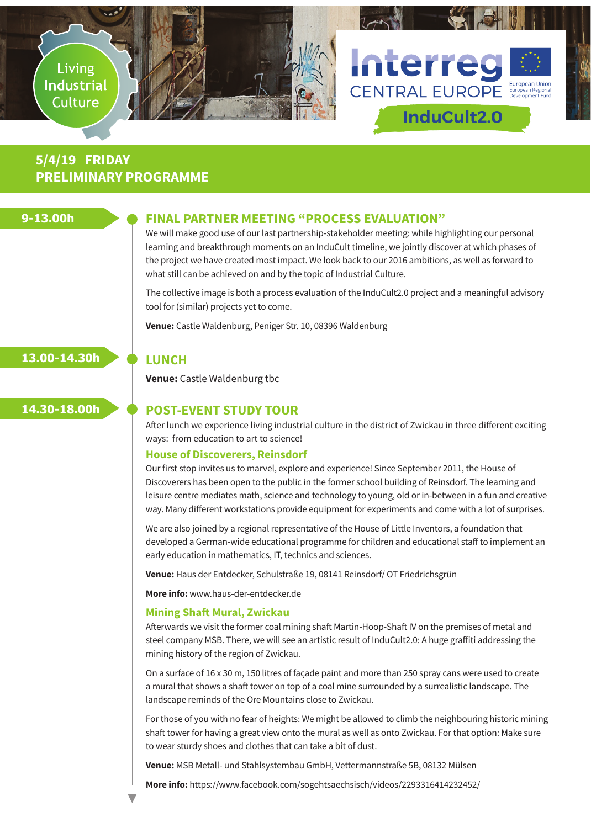

# **5/4/19 FRIDAY PRELIMINARY PROGRAMME**

## **9-13.00h**

### **FINAL PARTNER MEETING "PROCESS EVALUATION"**

We will make good use of our last partnership-stakeholder meeting: while highlighting our personal learning and breakthrough moments on an InduCult timeline, we jointly discover at which phases of the project we have created most impact. We look back to our 2016 ambitions, as well as forward to what still can be achieved on and by the topic of Industrial Culture.

The collective image is both a process evaluation of the InduCult2.0 project and a meaningful advisory tool for (similar) projects yet to come.

**Venue:** Castle Waldenburg, Peniger Str. 10, 08396 Waldenburg

# **13.00-14.30h**

**Venue:** Castle Waldenburg tbc

**LUNCH**

# **14.30-18.00h**

# **POST-EVENT STUDY TOUR**

After lunch we experience living industrial culture in the district of Zwickau in three different exciting ways: from education to art to science!

#### **House of Discoverers, Reinsdorf**

Our first stop invites us to marvel, explore and experience! Since September 2011, the House of Discoverers has been open to the public in the former school building of Reinsdorf. The learning and leisure centre mediates math, science and technology to young, old or in-between in a fun and creative way. Many different workstations provide equipment for experiments and come with a lot of surprises.

We are also joined by a regional representative of the House of Little Inventors, a foundation that developed a German-wide educational programme for children and educational staff to implement an early education in mathematics, IT, technics and sciences.

**Venue:** Haus der Entdecker, Schulstraße 19, 08141 Reinsdorf/ OT Friedrichsgrün

**More info:** www.haus-der-entdecker.de

#### **Mining Shaft Mural, Zwickau**

Afterwards we visit the former coal mining shaft Martin-Hoop-Shaft IV on the premises of metal and steel company MSB. There, we will see an artistic result of InduCult2.0: A huge graffiti addressing the mining history of the region of Zwickau.

On a surface of 16 x 30 m, 150 litres of façade paint and more than 250 spray cans were used to create a mural that shows a shaft tower on top of a coal mine surrounded by a surrealistic landscape. The landscape reminds of the Ore Mountains close to Zwickau.

For those of you with no fear of heights: We might be allowed to climb the neighbouring historic mining shaft tower for having a great view onto the mural as well as onto Zwickau. For that option: Make sure to wear sturdy shoes and clothes that can take a bit of dust.

**Venue:** MSB Metall- und Stahlsystembau GmbH, Vettermannstraße 5B, 08132 Mülsen

**More info:** https://www.facebook.com/sogehtsaechsisch/videos/2293316414232452/